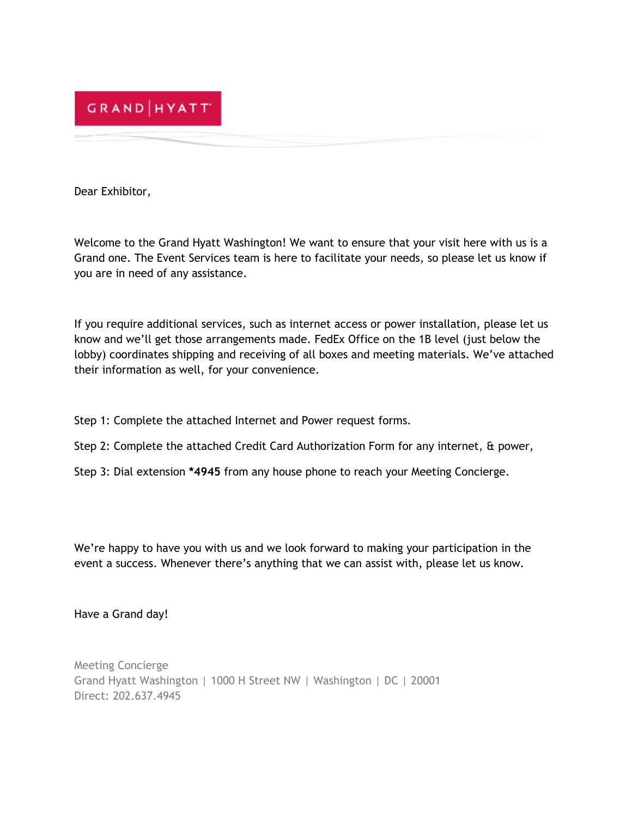

Dear Exhibitor,

Welcome to the Grand Hyatt Washington! We want to ensure that your visit here with us is a Grand one. The Event Services team is here to facilitate your needs, so please let us know if you are in need of any assistance.

If you require additional services, such as internet access or power installation, please let us know and we'll get those arrangements made. FedEx Office on the 1B level (just below the lobby) coordinates shipping and receiving of all boxes and meeting materials. We've attached their information as well, for your convenience.

- Step 1: Complete the attached Internet and Power request forms.
- Step 2: Complete the attached Credit Card Authorization Form for any internet, & power,
- Step 3: Dial extension **\*4945** from any house phone to reach your Meeting Concierge.

We're happy to have you with us and we look forward to making your participation in the event a success. Whenever there's anything that we can assist with, please let us know.

Have a Grand day!

Meeting Concierge Grand Hyatt Washington | 1000 H Street NW | Washington | DC | 20001 Direct: 202.637.4945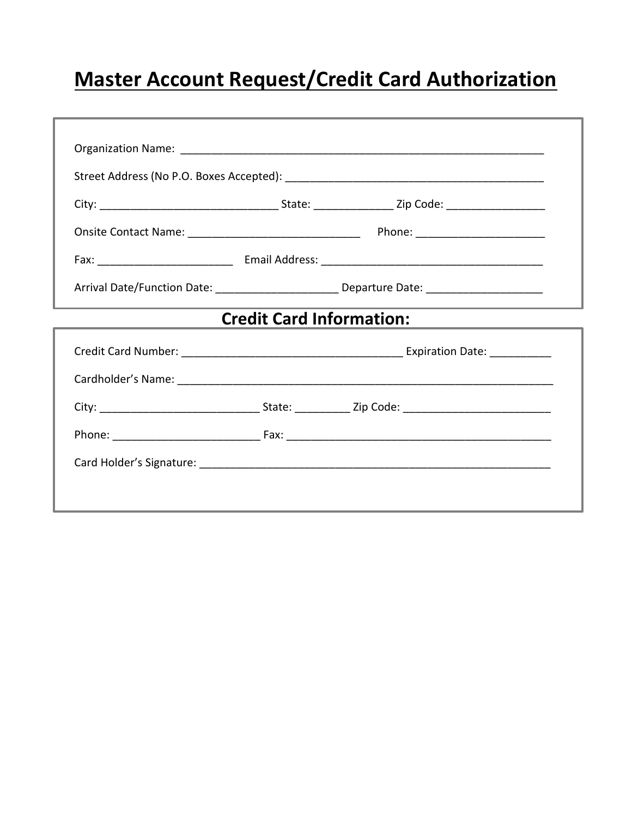# **Master Account Request/Credit Card Authorization**

| Arrival Date/Function Date: ___________________________Departure Date: ____________________________ |  |  |  |
|-----------------------------------------------------------------------------------------------------|--|--|--|
| <b>Credit Card Information:</b>                                                                     |  |  |  |
|                                                                                                     |  |  |  |
|                                                                                                     |  |  |  |
|                                                                                                     |  |  |  |
|                                                                                                     |  |  |  |
|                                                                                                     |  |  |  |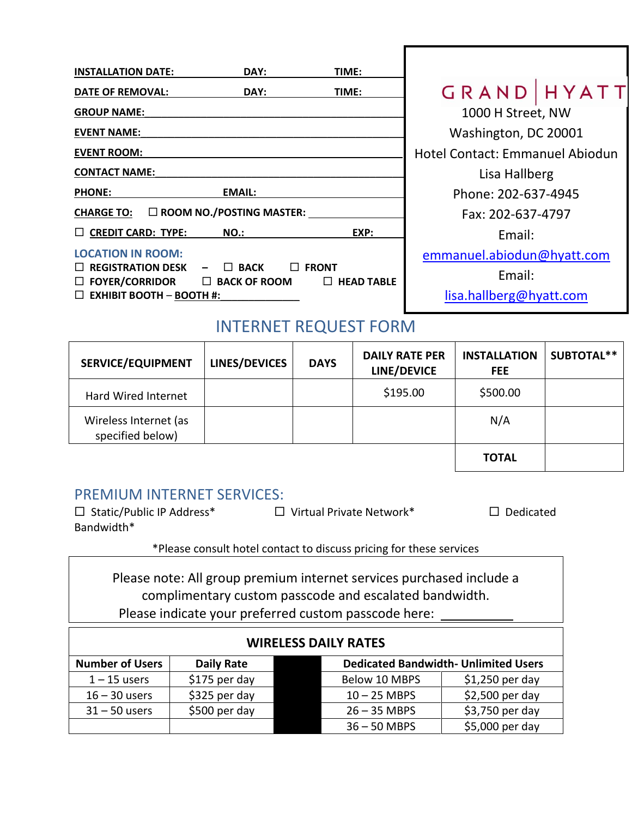| <b>INSTALLATION DATE:</b>                               | DAY:                               | TIME:                             |                                 |  |  |
|---------------------------------------------------------|------------------------------------|-----------------------------------|---------------------------------|--|--|
| <b>DATE OF REMOVAL:</b>                                 | DAY:                               | TIME:                             | GRAND   HYATT                   |  |  |
| <b>GROUP NAME:</b>                                      |                                    |                                   | 1000 H Street, NW               |  |  |
| <b>EVENT NAME:</b>                                      |                                    |                                   | Washington, DC 20001            |  |  |
| <b>EVENT ROOM:</b>                                      |                                    |                                   | Hotel Contact: Emmanuel Abiodun |  |  |
| <b>CONTACT NAME:</b>                                    |                                    |                                   | Lisa Hallberg                   |  |  |
| <b>PHONE:</b>                                           | <b>EMAIL:</b>                      |                                   | Phone: 202-637-4945             |  |  |
| $\square$ ROOM NO./POSTING MASTER:<br><b>CHARGE TO:</b> |                                    |                                   | Fax: 202-637-4797               |  |  |
| $\Box$ CREDIT CARD: TYPE:                               | NO.:                               | EXP:                              | Email:                          |  |  |
| <b>LOCATION IN ROOM:</b>                                |                                    |                                   | emmanuel.abiodun@hyatt.com      |  |  |
| $\Box$ REGISTRATION DESK<br>$\Box$ FOYER/CORRIDOR       | $\Box$ BACK<br>$\Box$ BACK OF ROOM | $\Box$ FRONT<br>$\Box$ HEAD TABLE | Email:                          |  |  |
| $\Box$ EXHIBIT BOOTH - BOOTH #:                         |                                    |                                   | lisa.hallberg@hyatt.com         |  |  |

### INTERNET REQUEST FORM

| <b>SERVICE/EQUIPMENT</b>                  | LINES/DEVICES | <b>DAYS</b> | <b>DAILY RATE PER</b><br>LINE/DEVICE | <b>INSTALLATION</b><br><b>FEE</b> | SUBTOTAL** |
|-------------------------------------------|---------------|-------------|--------------------------------------|-----------------------------------|------------|
| Hard Wired Internet                       |               |             | \$195.00                             | \$500.00                          |            |
| Wireless Internet (as<br>specified below) |               |             |                                      | N/A                               |            |
|                                           |               |             |                                      | <b>TOTAL</b>                      |            |

### PREMIUM INTERNET SERVICES:

| $\Box$ Static/Public IP Address* | $\Box$ Virtual Private Network* | $\Box$ Dedicated |
|----------------------------------|---------------------------------|------------------|
| Bandwidth*                       |                                 |                  |

\*Please consult hotel contact to discuss pricing for these services

Please note: All group premium internet services purchased include a complimentary custom passcode and escalated bandwidth. Please indicate your preferred custom passcode here:

| <b>WIRELESS DAILY RATES</b>                                                         |               |  |                |                  |
|-------------------------------------------------------------------------------------|---------------|--|----------------|------------------|
| <b>Dedicated Bandwidth- Unlimited Users</b><br><b>Number of Users</b><br>Daily Rate |               |  |                |                  |
| $1 - 15$ users                                                                      | \$175 per day |  | Below 10 MBPS  | $$1,250$ per day |
| $16 - 30$ users                                                                     | \$325 per day |  | $10 - 25$ MBPS | $$2,500$ per day |
| $31 - 50$ users                                                                     | \$500 per day |  | $26 - 35$ MBPS | \$3,750 per day  |
|                                                                                     |               |  | $36 - 50$ MBPS | \$5,000 per day  |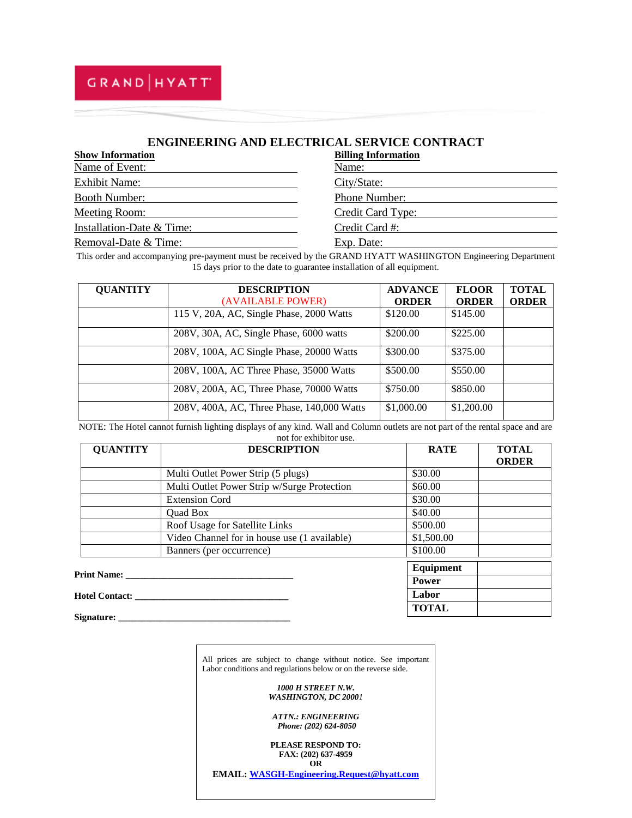## GRAND HYATT

### **ENGINEERING AND ELECTRICAL SERVICE CONTRACT**

| <b>Show Information</b>   | <b>Billing Information</b> |
|---------------------------|----------------------------|
| Name of Event:            | Name:                      |
| <b>Exhibit Name:</b>      | City/State:                |
| <b>Booth Number:</b>      | Phone Number:              |
| Meeting Room:             | Credit Card Type:          |
| Installation-Date & Time: | Credit Card #:             |
| Removal-Date & Time:      | Exp. Date:                 |

This order and accompanying pre-payment must be received by the GRAND HYATT WASHINGTON Engineering Department 15 days prior to the date to guarantee installation of all equipment.

| <b>QUANTITY</b> | <b>DESCRIPTION</b>                         | <b>ADVANCE</b> | <b>FLOOR</b> | <b>TOTAL</b> |
|-----------------|--------------------------------------------|----------------|--------------|--------------|
|                 | (AVAILABLE POWER)                          | <b>ORDER</b>   | <b>ORDER</b> | <b>ORDER</b> |
|                 | 115 V, 20A, AC, Single Phase, 2000 Watts   | \$120.00       | \$145.00     |              |
|                 | 208V, 30A, AC, Single Phase, 6000 watts    | \$200.00       | \$225.00     |              |
|                 | 208V, 100A, AC Single Phase, 20000 Watts   | \$300.00       | \$375.00     |              |
|                 | 208V, 100A, AC Three Phase, 35000 Watts    | \$500.00       | \$550.00     |              |
|                 | 208V, 200A, AC, Three Phase, 70000 Watts   | \$750.00       | \$850.00     |              |
|                 | 208V, 400A, AC, Three Phase, 140,000 Watts | \$1,000.00     | \$1,200.00   |              |

NOTE: The Hotel cannot furnish lighting displays of any kind. Wall and Column outlets are not part of the rental space and are not for exhibitor use.

| <b>QUANTITY</b>       | <b>DESCRIPTION</b>                           | <b>RATE</b>  | <b>TOTAL</b><br><b>ORDER</b> |
|-----------------------|----------------------------------------------|--------------|------------------------------|
|                       | Multi Outlet Power Strip (5 plugs)           | \$30.00      |                              |
|                       | Multi Outlet Power Strip w/Surge Protection  | \$60.00      |                              |
|                       | <b>Extension Cord</b>                        | \$30.00      |                              |
|                       | <b>Ouad Box</b>                              | \$40.00      |                              |
|                       | Roof Usage for Satellite Links               | \$500.00     |                              |
|                       | Video Channel for in house use (1 available) | \$1,500.00   |                              |
|                       | Banners (per occurrence)                     | \$100.00     |                              |
|                       |                                              | Equipment    |                              |
|                       | <b>Print Name:</b> Print Name:               | <b>Power</b> |                              |
| <b>Hotel Contact:</b> |                                              | Labor        |                              |
| Signature:            |                                              | <b>TOTAL</b> |                              |

All prices are subject to change without notice. See important Labor conditions and regulations below or on the reverse side.

> *1000 H STREET N.W. WASHINGTON, DC 20001*

*ATTN.: ENGINEERING Phone: (202) 624-8050*

**PLEASE RESPOND TO: FAX: (202) 637-4959 OR**

**EMAIL[: WASGH-Engineering.Request@hyatt.com](mailto:WASGH-Engineering.Request@hyatt.com)**